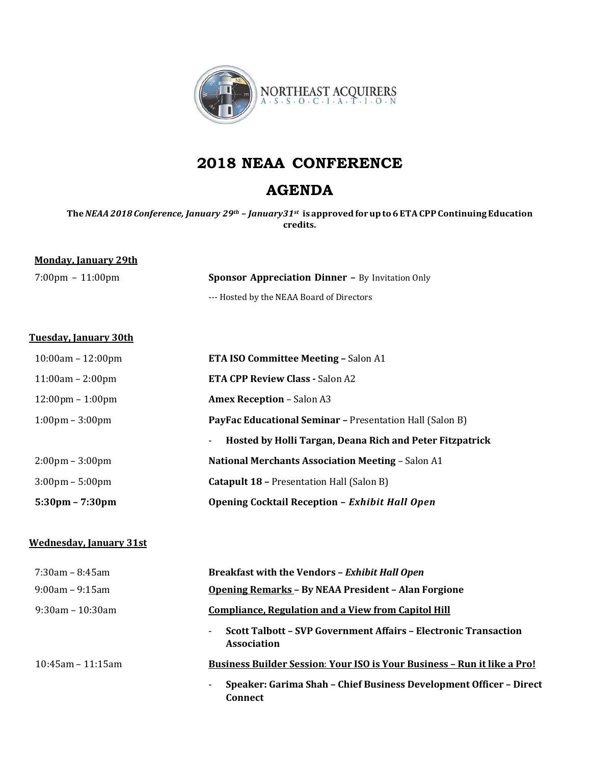

# **2018 NEAA CONFERENCE**

## **AGENDA**

**The***NEAA2018 Conference, January 29th – January31st* **is approvedforupto6ETACPPContinuingEducation credits.**

### **Monday, January 29th**

7:00pm – 11:00pm **Sponsor Appreciation Dinner –** By Invitation Only --- Hosted by the NEAA Board of Directors

#### **Tuesday, January 30th**

| $5:30 \text{pm} - 7:30 \text{pm}$  | Opening Cocktail Reception - Exhibit Hall Open                                       |
|------------------------------------|--------------------------------------------------------------------------------------|
| $3:00 \text{pm} - 5:00 \text{pm}$  | <b>Catapult 18 – Presentation Hall (Salon B)</b>                                     |
| $2:00 \text{pm} - 3:00 \text{pm}$  | <b>National Merchants Association Meeting - Salon A1</b>                             |
|                                    | Hosted by Holli Targan, Deana Rich and Peter Fitzpatrick<br>$\overline{\phantom{a}}$ |
| $1:00 \text{pm} - 3:00 \text{pm}$  | <b>PayFac Educational Seminar - Presentation Hall (Salon B)</b>                      |
| $12:00 \text{pm} - 1:00 \text{pm}$ | <b>Amex Reception - Salon A3</b>                                                     |
| $11:00am - 2:00pm$                 | <b>ETA CPP Review Class - Salon A2</b>                                               |
| $10:00am - 12:00pm$                | <b>ETA ISO Committee Meeting - Salon A1</b>                                          |

#### **Wednesday, January 31st**

| $7:30$ am – 8:45am    | <b>Breakfast with the Vendors - Exhibit Hall Open</b>                                                             |
|-----------------------|-------------------------------------------------------------------------------------------------------------------|
| $9:00$ am – $9:15$ am | <b>Opening Remarks - By NEAA President - Alan Forgione</b>                                                        |
| $9:30$ am – 10:30am   | <b>Compliance, Regulation and a View from Capitol Hill</b>                                                        |
|                       | Scott Talbott - SVP Government Affairs - Electronic Transaction<br>$\overline{\phantom{0}}$<br><b>Association</b> |
| $10:45$ am – 11:15am  | <b>Business Builder Session: Your ISO is Your Business - Run it like a Pro!</b>                                   |
|                       | Speaker: Garima Shah - Chief Business Development Officer - Direct<br>Connect                                     |